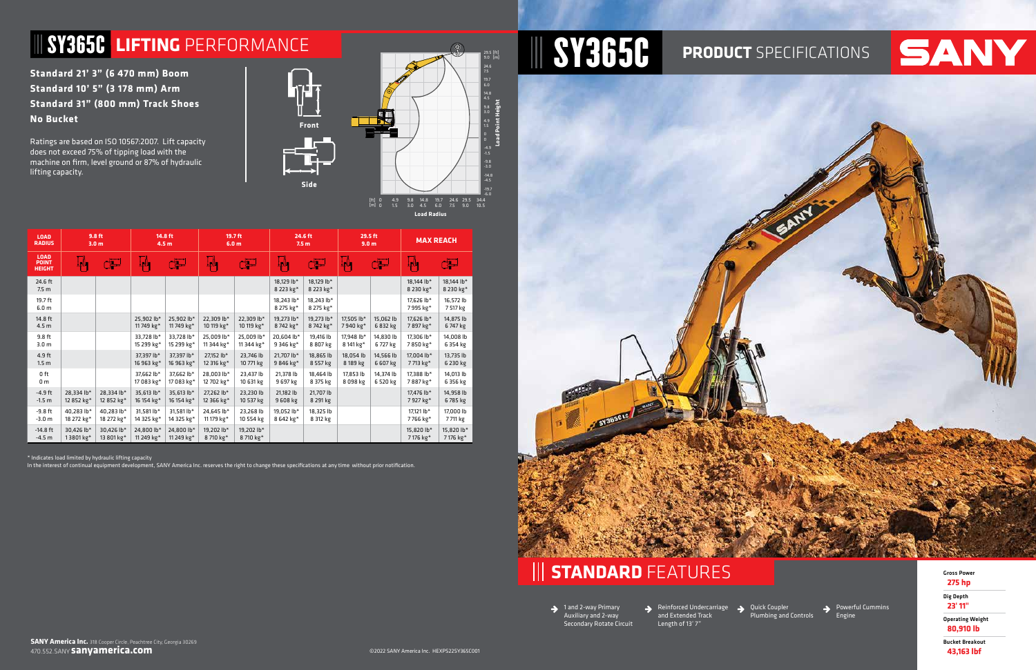**Standard 21' 3" (6 470 mm) Boom Standard 10' 5" (3 178 mm) Arm Standard 31" (800 mm) Track Shoes No Bucket**

Ratings are based on ISO 10567:2007. Lift capacity does not exceed 75% of tipping load with the machine on firm, level ground or 87% of hydraulic lifting capacity.

| <b>LOAD</b><br><b>RADIUS</b>                 | 9.8 ft<br>3.0 <sub>m</sub> |                          | 14.8 ft<br>4.5 <sub>m</sub> |                          | 19.7 ft<br>6.0 <sub>m</sub> |                          | 24.6 ft<br>7.5 <sub>m</sub> |                         | 29.5 ft<br>9.0 <sub>m</sub> |                       | <b>MAX REACH</b>        |                         |
|----------------------------------------------|----------------------------|--------------------------|-----------------------------|--------------------------|-----------------------------|--------------------------|-----------------------------|-------------------------|-----------------------------|-----------------------|-------------------------|-------------------------|
| <b>LOAD</b><br><b>POINT</b><br><b>HEIGHT</b> | ∫∟∬                        | لتق                      | ∐_∥l <sub>∎</sub>           | لتق                      | Ĺ,Ö,                        | لتبك                     | ŢŲ.                         | لتق                     | ļ, Щ                        | لتق                   | Լ∦լ                     | لتق                     |
| 24.6 ft<br>7.5 <sub>m</sub>                  |                            |                          |                             |                          |                             |                          | 18.129 lb*<br>8 223 kg*     | 18,129 lb*<br>8 223 kg* |                             |                       | 18.144 lb*<br>8 230 kg* | 18,144 lb*<br>8 230 kg* |
| 19.7 ft<br>6.0 <sub>m</sub>                  |                            |                          |                             |                          |                             |                          | 18,243 lb*<br>8 275 kg*     | 18,243 lb*<br>8 275 kg* |                             |                       | 17.626 lb*<br>7995 kg*  | 16,572 lb<br>7 517 kg   |
| 14.8 ft<br>4.5 <sub>m</sub>                  |                            |                          | 25,902 lb*<br>11749 kg*     | 25,902 lb*<br>11749 kg*  | 22,309 lb*<br>10 119 kg*    | 22,309 lb*<br>10 119 kg* | 19,273 lb*<br>8742 kg*      | 19,273 lb*<br>8742 kg*  | 17,505 lb*<br>7940 kg*      | 15,062 lb<br>6 832 kg | 17,626 lb*<br>7897 kg*  | 14,875 lb<br>6747 kg    |
| 9.8 ft<br>3.0 <sub>m</sub>                   |                            |                          | 33,728 lb*<br>15 299 kg*    | 33,728 lb*<br>15 299 kg* | 25,009 lb*<br>11 344 kg*    | 25,009 lb*<br>11 344 kg* | 20,604 lb*<br>9 346 kg*     | 19,416 lb<br>8 807 kg   | 17,948 lb*<br>8 141 kg*     | 14,830 lb<br>6727 kg  | 17,306 lb*<br>7850 kg*  | 14,008 lb<br>6 354 kg   |
| 4.9 ft<br>1.5 <sub>m</sub>                   |                            |                          | 37.397 lb*<br>16 963 kg*    | 37.397 lb*<br>16 963 kg* | 27,152 lb*<br>12 316 kg*    | 23,746 lb<br>10 771 kg   | 21.707 lb*<br>9846 kg*      | 18,865 lb<br>8 557 kg   | 18.054 lb<br>8 189 kg       | 14,566 lb<br>6 607 kg | 17,004 lb*<br>7713 kg*  | 13,735 lb<br>6 230 kg   |
| 0 <sub>ft</sub><br>0 <sub>m</sub>            |                            |                          | 37.662 lb*<br>17 083 kg*    | 37,662 lb*<br>17 083 kg* | 28.003 lb*<br>12 702 kg*    | 23,437 lb<br>10 631 kg   | 21,378 lb<br>9 697 kg       | 18,464 lb<br>8 375 kg   | 17.853 lb<br>8 098 kg       | 14,374 lb<br>6 520 kg | 17.388 lb*<br>7887 kg*  | 14,013 lb<br>6 356 kg   |
| $-4.9$ ft<br>$-1.5 m$                        | 28.334 lb*<br>12 852 kg*   | 28.334 lb*<br>12 852 kg* | 35,613 lb*<br>16 154 kg*    | 35.613 lb*<br>16 154 kg* | 27,262 lb*<br>12 366 kg*    | 23,230 lb<br>10 537 kg   | 21.182 lb<br>9 608 kg       | 21.707 lb<br>8 291 kg   |                             |                       | 17.476 lb*<br>7927 kg*  | 14,958 lb<br>6785 kg    |
| $-9.8$ ft<br>$-3.0 m$                        | 40,283 lb*<br>18 272 kg*   | 40,283 lb*<br>18 272 kg* | 31,581 lb*<br>14 325 kg*    | 31,581 lb*<br>14 325 kg* | 24,645 lb*<br>11 179 kg*    | 23,268 lb<br>10 554 kg   | 19,052 lb*<br>8 642 kg*     | 18,325 lb<br>8 312 kg   |                             |                       | 17,121 lb*<br>7766 kg*  | 17,000 lb<br>7711 kg    |
| $-14.8$ ft<br>$-4.5 m$                       | 30,426 lb*<br>13801 kg*    | 30.426 lb*<br>13 801 kg* | 24.800 lb*<br>11 249 kg*    | 24.800 lb*<br>11 249 kg* | 19,202 lb*<br>8710 kg*      | 19,202 lb*<br>8710 kg*   |                             |                         |                             |                       | 15,820 lb*<br>7176 kg*  | 15,820 lb*<br>7 176 kg* |

Powerful Cummins Engine



\* Indicates load limited by hydraulic lifting capacity

In the interest of continual equipment development, SANY America Inc. reserves the right to change these specifications at any time without prior notification.



**STANDARD** FEATURES Gross Power





**275 hp**

Dig Depth **23' 11"**

Operating Weight **80,910 lb**

Bucket Breakout **43,163 lbf**

1 and 2-way Primary Auxiliary and 2-way Secondary Rotate Circuit Reinforced Undercarriage  $\rightarrow$ and Extended Track Length of 13' 7"

Quick Coupler Plumbing and Controls